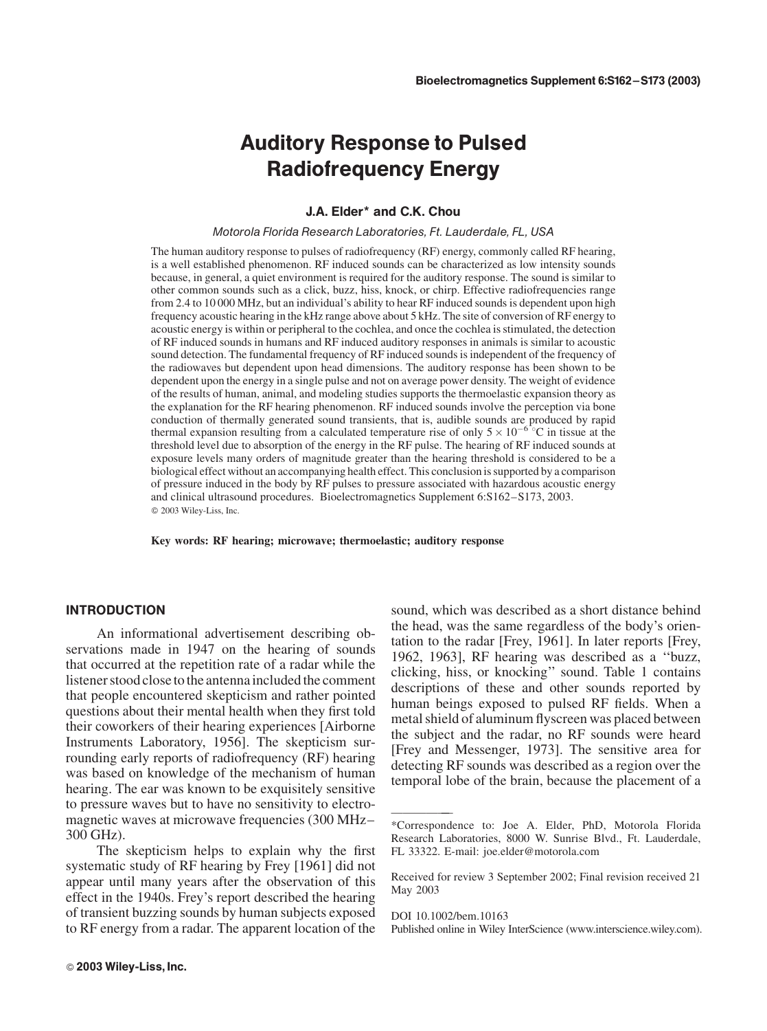# Auditory Response to Pulsed Radiofrequency Energy

## J.A. Elder\* and C.K. Chou

Motorola Florida Research Laboratories, Ft. Lauderdale, FL, USA

The human auditory response to pulses of radiofrequency (RF) energy, commonly called RF hearing, is a well established phenomenon. RF induced sounds can be characterized as low intensity sounds because, in general, a quiet environment is required for the auditory response. The sound is similar to other common sounds such as a click, buzz, hiss, knock, or chirp. Effective radiofrequencies range from 2.4 to 10 000 MHz, but an individual's ability to hear RF induced sounds is dependent upon high frequency acoustic hearing in the kHz range above about 5 kHz. The site of conversion of RF energy to acoustic energy is within or peripheral to the cochlea, and once the cochlea is stimulated, the detection of RF induced sounds in humans and RF induced auditory responses in animals is similar to acoustic sound detection. The fundamental frequency of RF induced sounds is independent of the frequency of the radiowaves but dependent upon head dimensions. The auditory response has been shown to be dependent upon the energy in a single pulse and not on average power density. The weight of evidence of the results of human, animal, and modeling studies supports the thermoelastic expansion theory as the explanation for the RF hearing phenomenon. RF induced sounds involve the perception via bone conduction of thermally generated sound transients, that is, audible sounds are produced by rapid thermal expansion resulting from a calculated temperature rise of only  $5 \times 10^{-6}$  °C in tissue at the threshold level due to absorption of the energy in the RF pulse. The hearing of RF induced sounds at exposure levels many orders of magnitude greater than the hearing threshold is considered to be a biological effect without an accompanying health effect. This conclusion is supported by a comparison of pressure induced in the body by RF pulses to pressure associated with hazardous acoustic energy and clinical ultrasound procedures. Bioelectromagnetics Supplement 6:S162–S173, 2003.  $© 2003 Wiley-Liss, Inc.$ 

Key words: RF hearing; microwave; thermoelastic; auditory response

## INTRODUCTION

An informational advertisement describing observations made in 1947 on the hearing of sounds that occurred at the repetition rate of a radar while the listener stood close to the antenna included the comment that people encountered skepticism and rather pointed questions about their mental health when they first told their coworkers of their hearing experiences [Airborne Instruments Laboratory, 1956]. The skepticism surrounding early reports of radiofrequency (RF) hearing was based on knowledge of the mechanism of human hearing. The ear was known to be exquisitely sensitive to pressure waves but to have no sensitivity to electromagnetic waves at microwave frequencies (300 MHz– 300 GHz).

The skepticism helps to explain why the first systematic study of RF hearing by Frey [1961] did not appear until many years after the observation of this effect in the 1940s. Frey's report described the hearing of transient buzzing sounds by human subjects exposed to RF energy from a radar. The apparent location of the

sound, which was described as a short distance behind the head, was the same regardless of the body's orientation to the radar [Frey, 1961]. In later reports [Frey, 1962, 1963], RF hearing was described as a ''buzz, clicking, hiss, or knocking'' sound. Table 1 contains descriptions of these and other sounds reported by human beings exposed to pulsed RF fields. When a metal shield of aluminum flyscreen was placed between the subject and the radar, no RF sounds were heard [Frey and Messenger, 1973]. The sensitive area for detecting RF sounds was described as a region over the temporal lobe of the brain, because the placement of a

DOI 10.1002/bem.10163

——————

Published online in Wiley InterScience (www.interscience.wiley.com).

<sup>\*</sup>Correspondence to: Joe A. Elder, PhD, Motorola Florida Research Laboratories, 8000 W. Sunrise Blvd., Ft. Lauderdale, FL 33322. E-mail: joe.elder@motorola.com

Received for review 3 September 2002; Final revision received 21 May 2003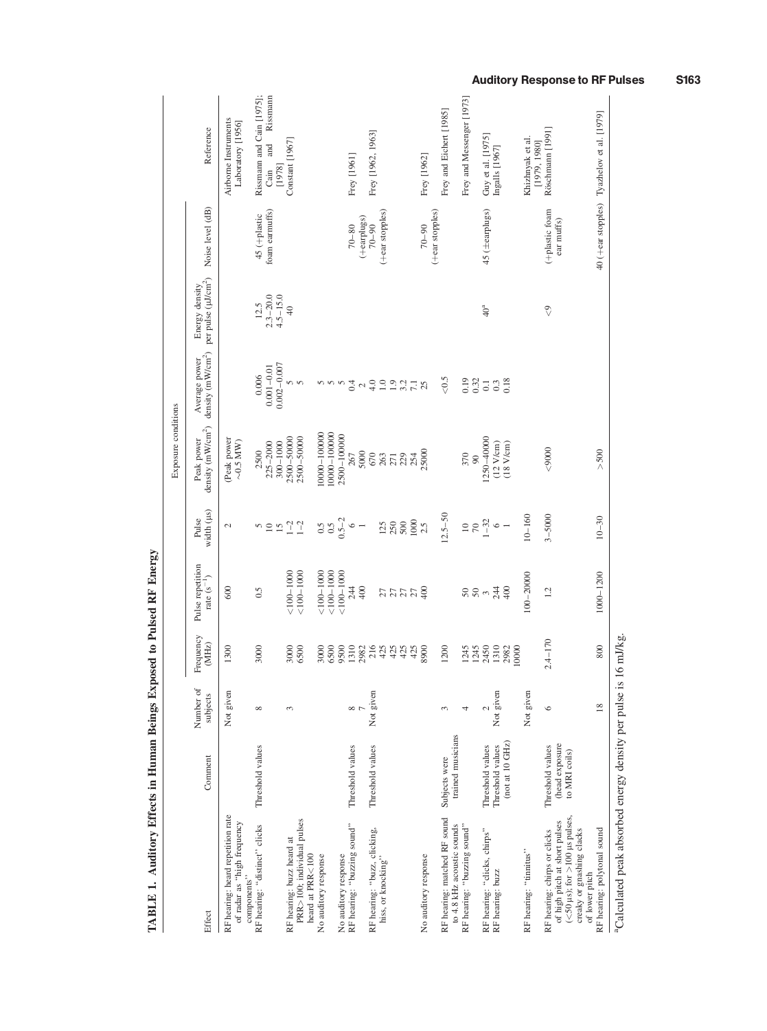|                                                                                                                                                           |                                                           |                       |                              |                                                    |                                             | Exposure conditions                                  |                                          |                                            |                                             |                                                      |
|-----------------------------------------------------------------------------------------------------------------------------------------------------------|-----------------------------------------------------------|-----------------------|------------------------------|----------------------------------------------------|---------------------------------------------|------------------------------------------------------|------------------------------------------|--------------------------------------------|---------------------------------------------|------------------------------------------------------|
| Effect                                                                                                                                                    | Comment                                                   | Number of<br>subjects | Frequency<br>(MHz)           | Pulse repetition<br>rate $(s^{-1})$                | width (µs)<br>Pulse                         | density $\rm (mW/cm^2)$<br>Peak power                | density $\rm (mW/cm^2)$<br>Average power | per pulse $(\mu J/cm^2)$<br>Energy density | Noise level (dB)                            | Reference                                            |
| RF hearing: heard repetition rate<br>of radar as "high frequency                                                                                          |                                                           | Not given             | 1300                         | 600                                                | 2                                           | Peak power<br>$\sim0.5$ MW)                          |                                          |                                            |                                             | Airborne Instruments<br>Laboratory [1956]            |
| RF hearing: "distinct" clicks<br>components"                                                                                                              | Threshold values                                          | ∞                     | 3000                         | 0.5                                                | $^{2}_{-}$ S<br>5                           | $225 - 2000$<br>2500                                 | $0.001 - 0.01$<br>0.006                  | $2.3 - 20.0$<br>12.5                       | foam earmuffs)<br>45 (+plastic              | Rissmann and Cain [1975];<br>Rissmann<br>and<br>Cain |
| PRR>100; individual pulses<br>RF hearing: buzz heard at<br>heard at PRR<100<br>No auditory response                                                       |                                                           | 3                     | 3000<br>6500<br>3000         | $< 100 - 1000$<br>$< 100 - 1000$<br>$< 100 - 1000$ | $1 - 2$<br>$1 - 2$<br>0.5                   | 00000-100000<br>2500-50000<br>2500-50000<br>300-1000 | $0.002 - 0.007$<br>5                     | $4.5 - 15.0$<br>$\downarrow$               |                                             | Constant [1967]<br>[1978]                            |
| RF hearing: "buzzing sound"<br>No auditory response                                                                                                       | Threshold values                                          | $^{\circ}$            | 6500<br>9500<br>1310<br>2982 | $< 100 - 1000$<br>$< 100 - 1000$<br>$rac{40}{4}$   | $0.5 - 2$<br>0.5<br>$\circ$                 | $0000 - 100000$<br>2500-100000<br>267                | $0.4$<br>とうと                             |                                            | $70 - 80$                                   | Frey [1961]                                          |
| RF hearing: "buzz, clicking,<br>hiss, or knocking"                                                                                                        | Threshold values                                          | Not given             | 216<br>425<br>425<br>425     | <b>ដួ</b> ង ដូង                                    | 125<br>$\overline{\phantom{0}}$             | 5000<br>670<br>263                                   | 4.0<br>$1.0\,$<br>$3.2 \n7.1$            |                                            | (+ear stopples)<br>(+earplugs)<br>$70 - 90$ | Frey [1962, 1963]                                    |
| No auditory response                                                                                                                                      |                                                           |                       | 425<br>8900                  |                                                    | $\frac{500}{1000}$                          | 229<br>254<br>25000                                  |                                          |                                            | $70 - 90$                                   | Frey [1962]                                          |
| RF hearing: matched RF sound<br>to 4.8 kHz acoustic sounds                                                                                                | trained musicians<br>Subjects were                        | $\sim$                | 1200                         |                                                    | $12.5 - 50$                                 |                                                      | &0.5                                     |                                            | (+ear stopples)                             | Frey and Eichert [1985]                              |
| RF hearing: "buzzing sound"                                                                                                                               |                                                           | 4                     | 1245<br>1245                 |                                                    |                                             | 370<br>$\infty$                                      | 0.19                                     |                                            |                                             | Frey and Messenger [1973]                            |
| RF hearing: "clicks, chirps"<br>RF hearing: buzz                                                                                                          | (not at $10$ GHz)<br>Threshold values<br>Threshold values | Not given             | 2450<br>1310<br>2982<br>0000 | 400<br>28 w 4                                      | $\frac{10}{7}$ $\frac{10}{1}$ $\frac{6}{9}$ | $.250 - 40000$<br>$(12$ V/cm $)$<br>$(18$ V/cm $)$   | $0.32$<br>0.1<br>0.18<br>0.3             | $40^{\rm a}$                               | 45 (±earplugs)                              | Guy et al. [1975]<br>Ingalls [1967]                  |
| RF hearing: "tinnitus"                                                                                                                                    |                                                           | Not given             |                              | $100 - 20000$                                      | $10 - 160$                                  |                                                      |                                          |                                            |                                             | Khizhnyak et al.<br>[1979, 1980]                     |
| $(<50 \,\mu s$ ; for >100 $\mu s$ pulses,<br>of high pitch at short pulses<br>creaky or gnashing clacks<br>RF hearing: chirps or clicks<br>of lower pitch | (head exposure<br>Threshold values<br>to MRI coils)       | $\circ$               | $2.4 - 170$                  | 1.2                                                | $3 - 5000$                                  | &0006                                                |                                          | $\sqrt{2}$                                 | (+plastic foam<br>ear muffs)                | Röschmann [1991]                                     |
| RF hearing: polytonal sound                                                                                                                               |                                                           | $\frac{8}{2}$         | 800                          | $1000 - 1200$                                      | $10 - 30$                                   | $>500$                                               |                                          |                                            |                                             | 40 (+ear stopples) Tyazhelov et al. [1979]           |
| <sup>a</sup> Calculated peak absorbed energy density per pulse is                                                                                         |                                                           |                       | 6 mJ/kg.                     |                                                    |                                             |                                                      |                                          |                                            |                                             |                                                      |

TABLE 1. Auditory Effects in Human Beings Exposed to Pulsed RF Energy TABLE 1. Auditory Effects in Human Beings Exposed to Pulsed RF Energy

Auditory Response to RF Pulses S163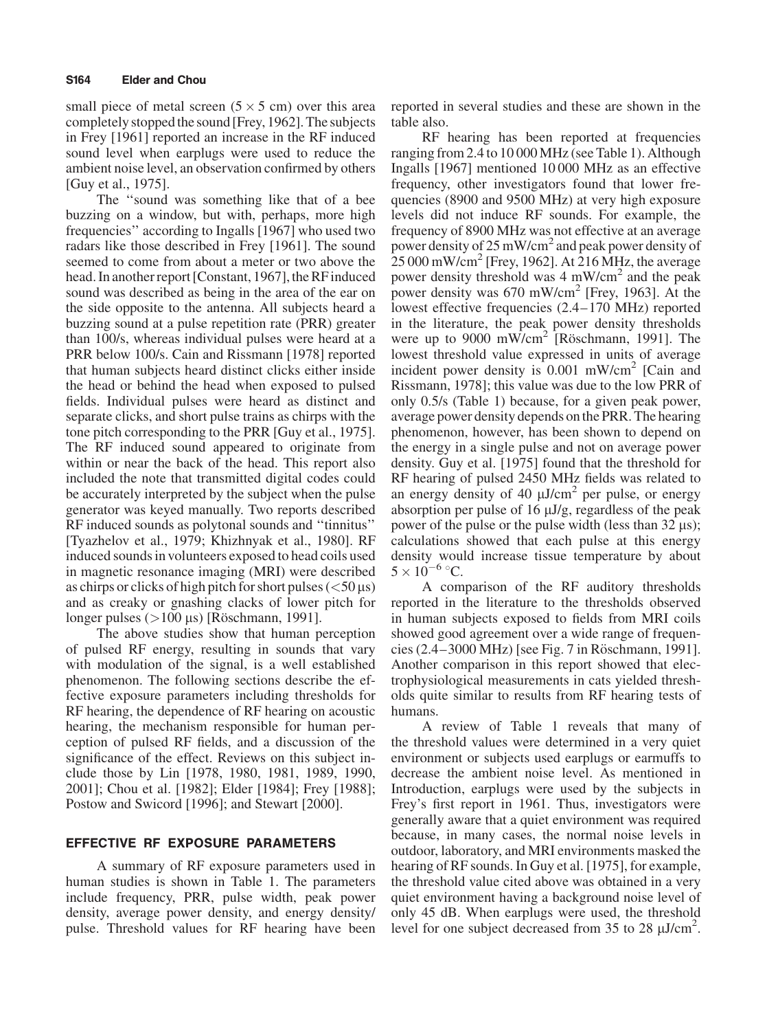small piece of metal screen  $(5 \times 5 \text{ cm})$  over this area completely stopped the sound [Frey, 1962]. The subjects in Frey [1961] reported an increase in the RF induced sound level when earplugs were used to reduce the ambient noise level, an observation confirmed by others [Guy et al., 1975].

The ''sound was something like that of a bee buzzing on a window, but with, perhaps, more high frequencies'' according to Ingalls [1967] who used two radars like those described in Frey [1961]. The sound seemed to come from about a meter or two above the head. In another report [Constant, 1967], the RF induced sound was described as being in the area of the ear on the side opposite to the antenna. All subjects heard a buzzing sound at a pulse repetition rate (PRR) greater than 100/s, whereas individual pulses were heard at a PRR below 100/s. Cain and Rissmann [1978] reported that human subjects heard distinct clicks either inside the head or behind the head when exposed to pulsed fields. Individual pulses were heard as distinct and separate clicks, and short pulse trains as chirps with the tone pitch corresponding to the PRR [Guy et al., 1975]. The RF induced sound appeared to originate from within or near the back of the head. This report also included the note that transmitted digital codes could be accurately interpreted by the subject when the pulse generator was keyed manually. Two reports described RF induced sounds as polytonal sounds and ''tinnitus'' [Tyazhelov et al., 1979; Khizhnyak et al., 1980]. RF induced sounds in volunteers exposed to head coils used in magnetic resonance imaging (MRI) were described as chirps or clicks of high pitch for short pulses  $\left\langle \leq 50 \right\rangle$ us) and as creaky or gnashing clacks of lower pitch for longer pulses  $(>100 \,\mu s)$  [Röschmann, 1991].

The above studies show that human perception of pulsed RF energy, resulting in sounds that vary with modulation of the signal, is a well established phenomenon. The following sections describe the effective exposure parameters including thresholds for RF hearing, the dependence of RF hearing on acoustic hearing, the mechanism responsible for human perception of pulsed RF fields, and a discussion of the significance of the effect. Reviews on this subject include those by Lin [1978, 1980, 1981, 1989, 1990, 2001]; Chou et al. [1982]; Elder [1984]; Frey [1988]; Postow and Swicord [1996]; and Stewart [2000].

### EFFECTIVE RF EXPOSURE PARAMETERS

A summary of RF exposure parameters used in human studies is shown in Table 1. The parameters include frequency, PRR, pulse width, peak power density, average power density, and energy density/ pulse. Threshold values for RF hearing have been reported in several studies and these are shown in the table also.

RF hearing has been reported at frequencies ranging from 2.4 to 10 000 MHz (see Table 1). Although Ingalls [1967] mentioned 10 000 MHz as an effective frequency, other investigators found that lower frequencies (8900 and 9500 MHz) at very high exposure levels did not induce RF sounds. For example, the frequency of 8900 MHz was not effective at an average power density of 25 mW/cm<sup>2</sup> and peak power density of  $25000 \,\mathrm{mW/cm^2}$  [Frey, 1962]. At 216 MHz, the average power density threshold was  $4 \text{ mW/cm}^2$  and the peak power density was  $670 \text{ mW/cm}^2$  [Frey, 1963]. At the lowest effective frequencies (2.4–170 MHz) reported in the literature, the peak power density thresholds were up to  $9000 \, \text{mW/cm}^2$  [Röschmann, 1991]. The lowest threshold value expressed in units of average incident power density is  $0.001$  mW/cm<sup>2</sup> [Cain and Rissmann, 1978]; this value was due to the low PRR of only 0.5/s (Table 1) because, for a given peak power, average power density depends on the PRR. The hearing phenomenon, however, has been shown to depend on the energy in a single pulse and not on average power density. Guy et al. [1975] found that the threshold for RF hearing of pulsed 2450 MHz fields was related to an energy density of 40  $\mu$ J/cm<sup>2</sup> per pulse, or energy absorption per pulse of  $16 \mu J/g$ , regardless of the peak power of the pulse or the pulse width (less than  $32 \mu s$ ); calculations showed that each pulse at this energy density would increase tissue temperature by about  $5 \times 10^{-6}$  °C.

A comparison of the RF auditory thresholds reported in the literature to the thresholds observed in human subjects exposed to fields from MRI coils showed good agreement over a wide range of frequencies (2.4–3000 MHz) [see Fig. 7 in Röschmann, 1991]. Another comparison in this report showed that electrophysiological measurements in cats yielded thresholds quite similar to results from RF hearing tests of humans.

A review of Table 1 reveals that many of the threshold values were determined in a very quiet environment or subjects used earplugs or earmuffs to decrease the ambient noise level. As mentioned in Introduction, earplugs were used by the subjects in Frey's first report in 1961. Thus, investigators were generally aware that a quiet environment was required because, in many cases, the normal noise levels in outdoor, laboratory, and MRI environments masked the hearing of RF sounds. In Guy et al. [1975], for example, the threshold value cited above was obtained in a very quiet environment having a background noise level of only 45 dB. When earplugs were used, the threshold level for one subject decreased from  $35$  to  $28 \mu$ J/cm<sup>2</sup>.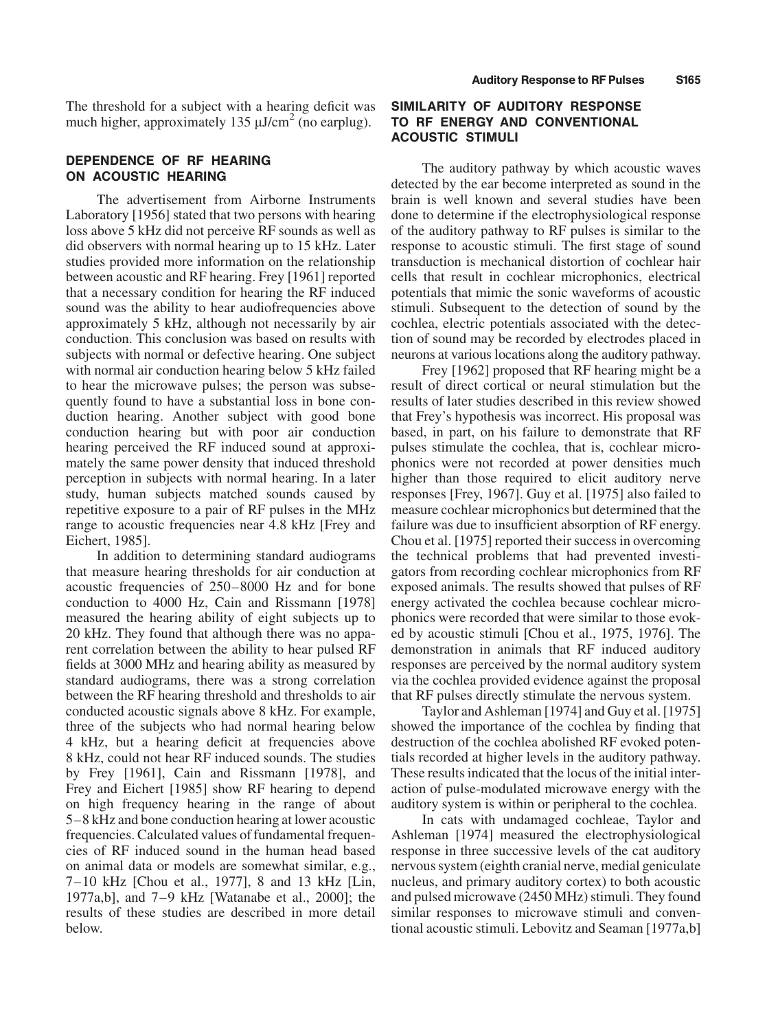## DEPENDENCE OF RF HEARING ON ACOUSTIC HEARING

The advertisement from Airborne Instruments Laboratory [1956] stated that two persons with hearing loss above 5 kHz did not perceive RF sounds as well as did observers with normal hearing up to 15 kHz. Later studies provided more information on the relationship between acoustic and RF hearing. Frey [1961] reported that a necessary condition for hearing the RF induced sound was the ability to hear audiofrequencies above approximately 5 kHz, although not necessarily by air conduction. This conclusion was based on results with subjects with normal or defective hearing. One subject with normal air conduction hearing below 5 kHz failed to hear the microwave pulses; the person was subsequently found to have a substantial loss in bone conduction hearing. Another subject with good bone conduction hearing but with poor air conduction hearing perceived the RF induced sound at approximately the same power density that induced threshold perception in subjects with normal hearing. In a later study, human subjects matched sounds caused by repetitive exposure to a pair of RF pulses in the MHz range to acoustic frequencies near 4.8 kHz [Frey and Eichert, 1985].

In addition to determining standard audiograms that measure hearing thresholds for air conduction at acoustic frequencies of 250–8000 Hz and for bone conduction to 4000 Hz, Cain and Rissmann [1978] measured the hearing ability of eight subjects up to 20 kHz. They found that although there was no apparent correlation between the ability to hear pulsed RF fields at 3000 MHz and hearing ability as measured by standard audiograms, there was a strong correlation between the RF hearing threshold and thresholds to air conducted acoustic signals above 8 kHz. For example, three of the subjects who had normal hearing below 4 kHz, but a hearing deficit at frequencies above 8 kHz, could not hear RF induced sounds. The studies by Frey [1961], Cain and Rissmann [1978], and Frey and Eichert [1985] show RF hearing to depend on high frequency hearing in the range of about 5–8 kHz and bone conduction hearing at lower acoustic frequencies. Calculated values of fundamental frequencies of RF induced sound in the human head based on animal data or models are somewhat similar, e.g., 7–10 kHz [Chou et al., 1977], 8 and 13 kHz [Lin, 1977a,b], and 7–9 kHz [Watanabe et al., 2000]; the results of these studies are described in more detail below.

## SIMILARITY OF AUDITORY RESPONSE TO RF ENERGY AND CONVENTIONAL ACOUSTIC STIMULI

The auditory pathway by which acoustic waves detected by the ear become interpreted as sound in the brain is well known and several studies have been done to determine if the electrophysiological response of the auditory pathway to RF pulses is similar to the response to acoustic stimuli. The first stage of sound transduction is mechanical distortion of cochlear hair cells that result in cochlear microphonics, electrical potentials that mimic the sonic waveforms of acoustic stimuli. Subsequent to the detection of sound by the cochlea, electric potentials associated with the detection of sound may be recorded by electrodes placed in neurons at various locations along the auditory pathway.

Frey [1962] proposed that RF hearing might be a result of direct cortical or neural stimulation but the results of later studies described in this review showed that Frey's hypothesis was incorrect. His proposal was based, in part, on his failure to demonstrate that RF pulses stimulate the cochlea, that is, cochlear microphonics were not recorded at power densities much higher than those required to elicit auditory nerve responses [Frey, 1967]. Guy et al. [1975] also failed to measure cochlear microphonics but determined that the failure was due to insufficient absorption of RF energy. Chou et al. [1975] reported their success in overcoming the technical problems that had prevented investigators from recording cochlear microphonics from RF exposed animals. The results showed that pulses of RF energy activated the cochlea because cochlear microphonics were recorded that were similar to those evoked by acoustic stimuli [Chou et al., 1975, 1976]. The demonstration in animals that RF induced auditory responses are perceived by the normal auditory system via the cochlea provided evidence against the proposal that RF pulses directly stimulate the nervous system.

Taylor and Ashleman [1974] and Guy et al. [1975] showed the importance of the cochlea by finding that destruction of the cochlea abolished RF evoked potentials recorded at higher levels in the auditory pathway. These results indicated that the locus of the initial interaction of pulse-modulated microwave energy with the auditory system is within or peripheral to the cochlea.

In cats with undamaged cochleae, Taylor and Ashleman [1974] measured the electrophysiological response in three successive levels of the cat auditory nervous system (eighth cranial nerve, medial geniculate nucleus, and primary auditory cortex) to both acoustic and pulsed microwave (2450 MHz) stimuli. They found similar responses to microwave stimuli and conventional acoustic stimuli. Lebovitz and Seaman [1977a,b]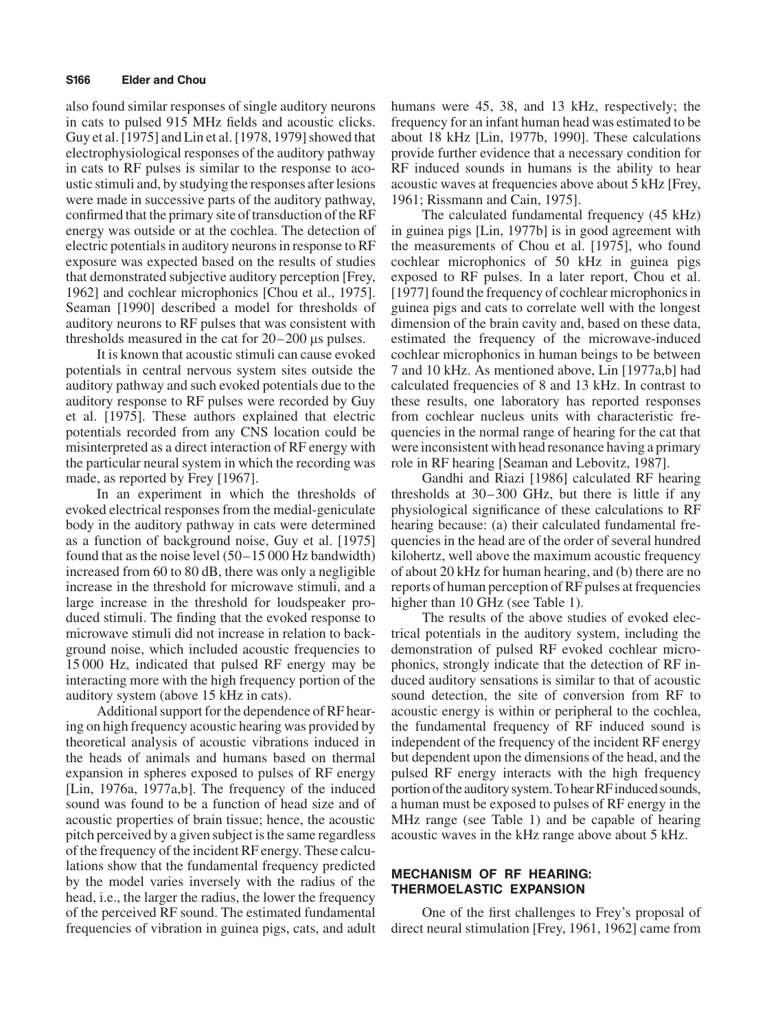also found similar responses of single auditory neurons in cats to pulsed 915 MHz fields and acoustic clicks. Guy et al. [1975] and Lin et al. [1978, 1979] showed that electrophysiological responses of the auditory pathway in cats to RF pulses is similar to the response to acoustic stimuli and, by studying the responses after lesions were made in successive parts of the auditory pathway, confirmed that the primary site of transduction of the RF energy was outside or at the cochlea. The detection of electric potentials in auditory neurons in response to RF exposure was expected based on the results of studies that demonstrated subjective auditory perception [Frey, 1962] and cochlear microphonics [Chou et al., 1975]. Seaman [1990] described a model for thresholds of auditory neurons to RF pulses that was consistent with thresholds measured in the cat for  $20-200$  µs pulses.

It is known that acoustic stimuli can cause evoked potentials in central nervous system sites outside the auditory pathway and such evoked potentials due to the auditory response to RF pulses were recorded by Guy et al. [1975]. These authors explained that electric potentials recorded from any CNS location could be misinterpreted as a direct interaction of RF energy with the particular neural system in which the recording was made, as reported by Frey [1967].

In an experiment in which the thresholds of evoked electrical responses from the medial-geniculate body in the auditory pathway in cats were determined as a function of background noise, Guy et al. [1975] found that as the noise level (50–15 000 Hz bandwidth) increased from 60 to 80 dB, there was only a negligible increase in the threshold for microwave stimuli, and a large increase in the threshold for loudspeaker produced stimuli. The finding that the evoked response to microwave stimuli did not increase in relation to background noise, which included acoustic frequencies to 15 000 Hz, indicated that pulsed RF energy may be interacting more with the high frequency portion of the auditory system (above 15 kHz in cats).

Additional support for the dependence of RF hearing on high frequency acoustic hearing was provided by theoretical analysis of acoustic vibrations induced in the heads of animals and humans based on thermal expansion in spheres exposed to pulses of RF energy [Lin, 1976a, 1977a,b]. The frequency of the induced sound was found to be a function of head size and of acoustic properties of brain tissue; hence, the acoustic pitch perceived by a given subject is the same regardless of the frequency of the incident RF energy. These calculations show that the fundamental frequency predicted by the model varies inversely with the radius of the head, i.e., the larger the radius, the lower the frequency of the perceived RF sound. The estimated fundamental frequencies of vibration in guinea pigs, cats, and adult humans were 45, 38, and 13 kHz, respectively; the frequency for an infant human head was estimated to be about 18 kHz [Lin, 1977b, 1990]. These calculations provide further evidence that a necessary condition for RF induced sounds in humans is the ability to hear acoustic waves at frequencies above about 5 kHz [Frey, 1961; Rissmann and Cain, 1975].

The calculated fundamental frequency (45 kHz) in guinea pigs [Lin, 1977b] is in good agreement with the measurements of Chou et al. [1975], who found cochlear microphonics of 50 kHz in guinea pigs exposed to RF pulses. In a later report, Chou et al. [1977] found the frequency of cochlear microphonics in guinea pigs and cats to correlate well with the longest dimension of the brain cavity and, based on these data, estimated the frequency of the microwave-induced cochlear microphonics in human beings to be between 7 and 10 kHz. As mentioned above, Lin [1977a,b] had calculated frequencies of 8 and 13 kHz. In contrast to these results, one laboratory has reported responses from cochlear nucleus units with characteristic frequencies in the normal range of hearing for the cat that were inconsistent with head resonance having a primary role in RF hearing [Seaman and Lebovitz, 1987].

Gandhi and Riazi [1986] calculated RF hearing thresholds at 30–300 GHz, but there is little if any physiological significance of these calculations to RF hearing because: (a) their calculated fundamental frequencies in the head are of the order of several hundred kilohertz, well above the maximum acoustic frequency of about 20 kHz for human hearing, and (b) there are no reports of human perception of RF pulses at frequencies higher than 10 GHz (see Table 1).

The results of the above studies of evoked electrical potentials in the auditory system, including the demonstration of pulsed RF evoked cochlear microphonics, strongly indicate that the detection of RF induced auditory sensations is similar to that of acoustic sound detection, the site of conversion from RF to acoustic energy is within or peripheral to the cochlea, the fundamental frequency of RF induced sound is independent of the frequency of the incident RF energy but dependent upon the dimensions of the head, and the pulsed RF energy interacts with the high frequency portion of the auditory system. To hear RF induced sounds, a human must be exposed to pulses of RF energy in the MHz range (see Table 1) and be capable of hearing acoustic waves in the kHz range above about 5 kHz.

## MECHANISM OF RF HEARING: THERMOELASTIC EXPANSION

One of the first challenges to Frey's proposal of direct neural stimulation [Frey, 1961, 1962] came from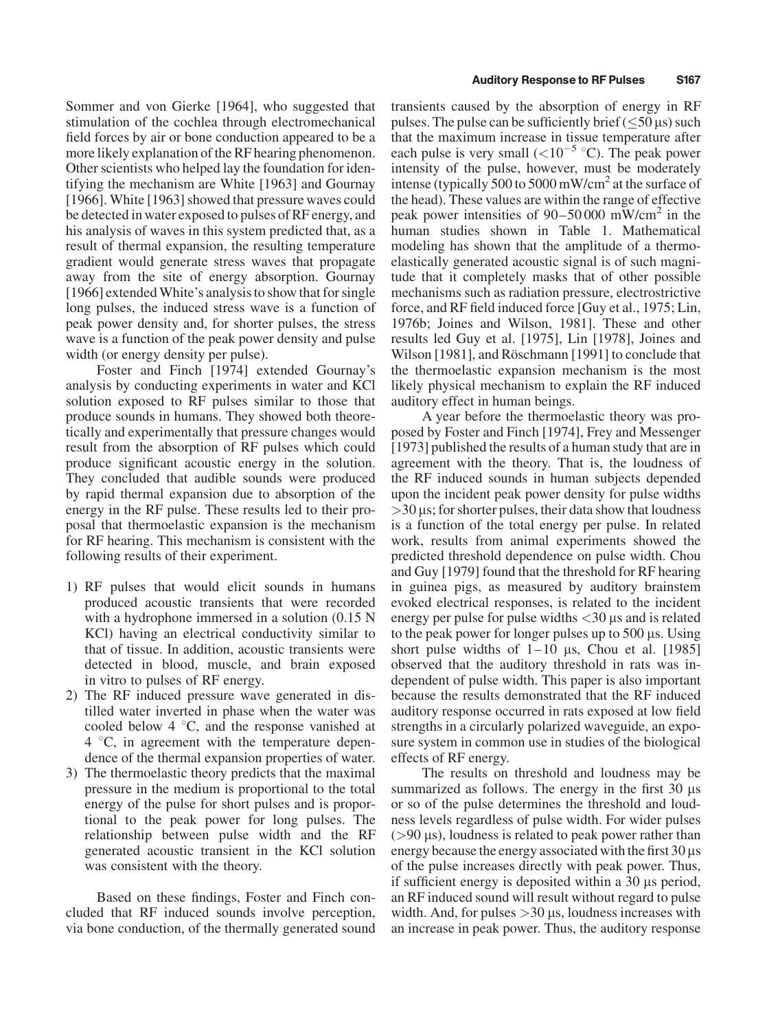Sommer and von Gierke [1964], who suggested that stimulation of the cochlea through electromechanical field forces by air or bone conduction appeared to be a more likely explanation of the RF hearing phenomenon. Other scientists who helped lay the foundation for identifying the mechanism are White [1963] and Gournay [1966]. White [1963] showed that pressure waves could be detected in water exposed to pulses of RF energy, and his analysis of waves in this system predicted that, as a result of thermal expansion, the resulting temperature gradient would generate stress waves that propagate away from the site of energy absorption. Gournay [1966] extended White's analysis to show that for single long pulses, the induced stress wave is a function of peak power density and, for shorter pulses, the stress wave is a function of the peak power density and pulse width (or energy density per pulse).

Foster and Finch [1974] extended Gournay's analysis by conducting experiments in water and KCl solution exposed to RF pulses similar to those that produce sounds in humans. They showed both theoretically and experimentally that pressure changes would result from the absorption of RF pulses which could produce significant acoustic energy in the solution. They concluded that audible sounds were produced by rapid thermal expansion due to absorption of the energy in the RF pulse. These results led to their proposal that thermoelastic expansion is the mechanism for RF hearing. This mechanism is consistent with the following results of their experiment.

- 1) RF pulses that would elicit sounds in humans produced acoustic transients that were recorded with a hydrophone immersed in a solution  $(0.15 \text{ N})$ KCl) having an electrical conductivity similar to that of tissue. In addition, acoustic transients were detected in blood, muscle, and brain exposed in vitro to pulses of RF energy.
- 2) The RF induced pressure wave generated in distilled water inverted in phase when the water was cooled below  $4 \degree C$ , and the response vanished at  $4 \degree C$ , in agreement with the temperature dependence of the thermal expansion properties of water.
- 3) The thermoelastic theory predicts that the maximal pressure in the medium is proportional to the total energy of the pulse for short pulses and is proportional to the peak power for long pulses. The relationship between pulse width and the RF generated acoustic transient in the KCl solution was consistent with the theory.

Based on these findings, Foster and Finch concluded that RF induced sounds involve perception, via bone conduction, of the thermally generated sound

transients caused by the absorption of energy in RF pulses. The pulse can be sufficiently brief  $(<50 \,\mu s$ ) such that the maximum increase in tissue temperature after each pulse is very small  $(<10^{-5}$  °C). The peak power intensity of the pulse, however, must be moderately intense (typically 500 to 5000 mW/cm<sup>2</sup> at the surface of the head). These values are within the range of effective peak power intensities of  $90-50000$  mW/cm<sup>2</sup> in the human studies shown in Table 1. Mathematical modeling has shown that the amplitude of a thermoelastically generated acoustic signal is of such magnitude that it completely masks that of other possible mechanisms such as radiation pressure, electrostrictive force, and RF field induced force [Guy et al., 1975; Lin, 1976b; Joines and Wilson, 1981]. These and other results led Guy et al. [1975], Lin [1978], Joines and Wilson [1981], and Röschmann [1991] to conclude that the thermoelastic expansion mechanism is the most likely physical mechanism to explain the RF induced auditory effect in human beings.

A year before the thermoelastic theory was proposed by Foster and Finch [1974], Frey and Messenger [1973] published the results of a human study that are in agreement with the theory. That is, the loudness of the RF induced sounds in human subjects depended upon the incident peak power density for pulse widths  $>$ 30 µs; for shorter pulses, their data show that loudness is a function of the total energy per pulse. In related work, results from animal experiments showed the predicted threshold dependence on pulse width. Chou and Guy [1979] found that the threshold for RF hearing in guinea pigs, as measured by auditory brainstem evoked electrical responses, is related to the incident energy per pulse for pulse widths  $\langle 30 \rangle$  us and is related to the peak power for longer pulses up to  $500 \mu s$ . Using short pulse widths of  $1-10$  µs, Chou et al. [1985] observed that the auditory threshold in rats was independent of pulse width. This paper is also important because the results demonstrated that the RF induced auditory response occurred in rats exposed at low field strengths in a circularly polarized waveguide, an exposure system in common use in studies of the biological effects of RF energy.

The results on threshold and loudness may be summarized as follows. The energy in the first  $30 \mu s$ or so of the pulse determines the threshold and loudness levels regardless of pulse width. For wider pulses  $(>90 \,\mu s)$ , loudness is related to peak power rather than energy because the energy associated with the first  $30 \mu s$ of the pulse increases directly with peak power. Thus, if sufficient energy is deposited within a  $30 \mu s$  period, an RF induced sound will result without regard to pulse width. And, for pulses  $>30 \mu s$ , loudness increases with an increase in peak power. Thus, the auditory response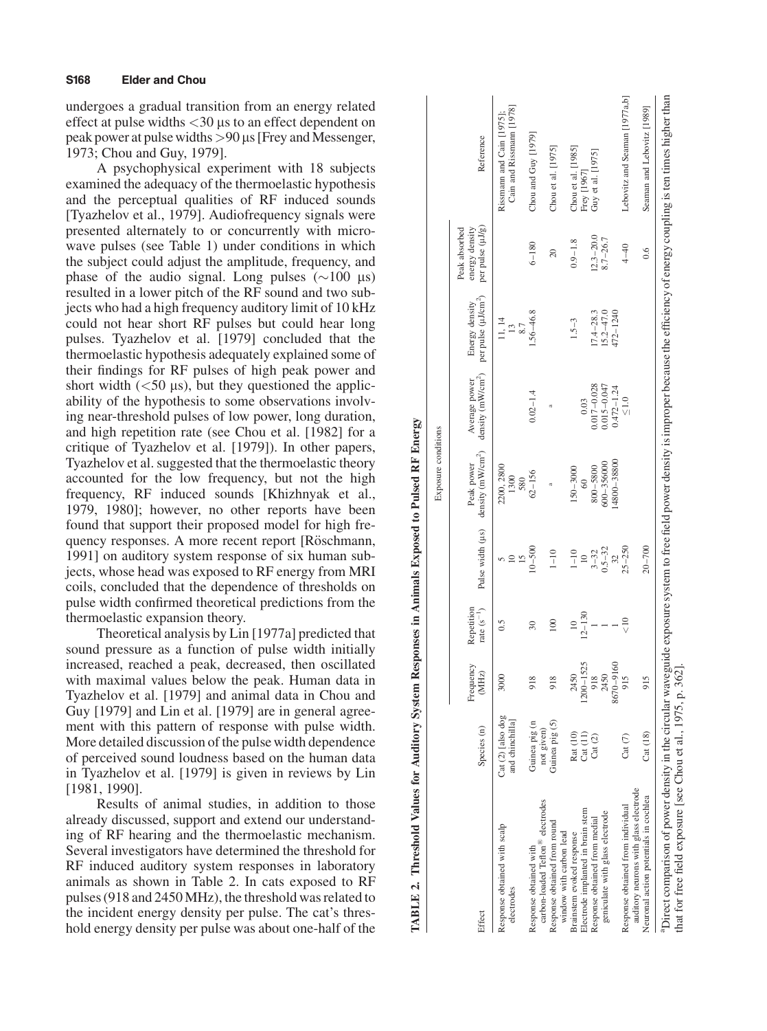undergoes a gradual transition from an energy related effect at pulse widths <30 µs to an effect dependent on peak power at pulse widths > 90 µs [Frey and Messenger, 1973; Chou and Guy, 1979].

A psychophysical experiment with 18 subjects examined the adequacy of the thermoelastic hypothesis and the perceptual qualities of RF induced sounds [Tyazhelov et al., 1979]. Audiofrequency signals were presented alternately to or concurrently with microwave pulses (see Table 1) under conditions in which the subject could adjust the amplitude, frequency, and phase of the audio signal. Long pulses  $(\sim 100 \text{ }\mu\text{s})$ resulted in a lower pitch of the RF sound and two subjects who had a high frequency auditory limit of 10 kHz could not hear short RF pulses but could hear long pulses. Tyazhelov et al. [1979] concluded that the thermoelastic hypothesis adequately explained some of their findings for RF pulses of high peak power and short width  $(<50 \mu s)$ , but they questioned the applicability of the hypothesis to some observations involving near-threshold pulses of low power, long duration, and high repetition rate (see Chou et al. [1982] for a critique of Tyazhelov et al. [1979]). In other papers, Tyazhelov et al. suggested that the thermoelastic theory accounted for the low frequency, but not the high frequency, RF induced sounds [Khizhnyak et al., 1979, 1980]; however, no other reports have been found that support their proposed model for high frequency responses. A more recent report [Röschmann, 1991] on auditory system response of six human subjects, whose head was exposed to RF energy from MRI coils, concluded that the dependence of thresholds on pulse width confirmed theoretical predictions from the thermoelastic expansion theory.

Theoretical analysis by Lin [1977a] predicted that sound pressure as a function of pulse width initially increased, reached a peak, decreased, then oscillated with maximal values below the peak. Human data in Tyazhelov et al. [1979] and animal data in Chou and Guy [1979] and Lin et al. [1979] are in general agreement with this pattern of response with pulse width. More detailed discussion of the pulse width dependence of perceived sound loudness based on the human data in Tyazhelov et al. [1979] is given in reviews by Lin [1981, 1990].

Results of animal studies, in addition to those already discussed, support and extend our understanding of RF hearing and the thermoelastic mechanism. Several investigators have determined the threshold for RF induced auditory system responses in laboratory animals as shown in Table 2. In cats exposed to RF pulses (918 and 2450 MHz), the threshold was related to the incident energy density per pulse. The cat's threshold energy density per pulse was about one-half of the

|                                                                                                                                                                                                                                                          |                                      |                      |                               |                          | Exposure conditions                |                                     |                                            |                                                     |                                                       |
|----------------------------------------------------------------------------------------------------------------------------------------------------------------------------------------------------------------------------------------------------------|--------------------------------------|----------------------|-------------------------------|--------------------------|------------------------------------|-------------------------------------|--------------------------------------------|-----------------------------------------------------|-------------------------------------------------------|
| Effect                                                                                                                                                                                                                                                   | Species (n)                          | Frequency<br>$(MHz)$ | Repetition<br>rate $(s^{-1})$ | Pulse width (µs)         | density ( $mW/cm2$ )<br>Peak power | density $(mW/cm2)$<br>Average power | per pulse $(\mu J/cm^2)$<br>Energy density | per pulse (µJ/g)<br>energy density<br>Peak absorbed | Reference                                             |
| Response obtained with scalp<br>electrodes                                                                                                                                                                                                               | Cat (2) [also dog<br>and chinchilla] |                      | 0.5                           | $\overline{15}$<br>$\Xi$ | 2200, 2800<br>1300<br>580          |                                     | 11, 14<br>$\frac{13}{8.7}$                 |                                                     | Cain and Rissmann [1978]<br>Rissmann and Cain [1975]; |
| carbon-loaded Teflon <sup>45</sup> electrodes<br>Response obtained with                                                                                                                                                                                  | Guinea pig (n<br>not given)          | 918                  | $\overline{30}$               | $10 - 500$               | $62 - 156$                         | $0.02 - 1.4$                        | $1.56 - 46.8$                              | $6 - 180$                                           | Chou and Guy $[1979]$                                 |
| Response obtained from round<br>window with carbon lead                                                                                                                                                                                                  | Guinea pig (5)                       | 918                  | 100                           | $1 - 10$                 |                                    |                                     |                                            | $\overline{20}$                                     | Chou et al. [1975]                                    |
| Brainstem evoked response                                                                                                                                                                                                                                | Rat (10)                             | 2450                 | $\supseteq$                   | $1 - 10$                 | 150-3000                           |                                     | $1.5 - 3$                                  | $0.9 - 1.8$                                         | Chou et al. [1985]                                    |
| Electrode implanted in brain stem<br>Response obtained from medial                                                                                                                                                                                       | Cat(11)<br>Cat(2)                    | $1200 - 1525$<br>918 | $12 - 130$                    | $3 - 32$<br>$\approx$    | 800-5800<br>$\degree$              | $0.017 - 0.028$<br>0.03             | $17.4 - 28.3$                              | $12.3 - 20.0$                                       | Guy et al. [1975]<br>Frey [1967]                      |
| geniculate with glass electrode                                                                                                                                                                                                                          |                                      | 8670-9160<br>2450    |                               | $0.5 - 32$<br>32         | 4800-38800<br>600-356000           | $0.015 - 0.047$<br>$0.472 - 1.24$   | $15.2 - 47.0$<br>472-1240                  | $8.7 - 26.7$                                        |                                                       |
| Response obtained from individual                                                                                                                                                                                                                        | Cat(7)                               | 915                  |                               | $25 - 250$               |                                    | $\leq 1.0$                          |                                            | $4 - 40$                                            | Lebovitz and Seaman [1977a,b]                         |
| auditory neurons with glass electrode<br>Neuronal action potentials in cochlea                                                                                                                                                                           | Cat(18)                              | 915                  |                               | $20 - 700$               |                                    |                                     |                                            | 0.6                                                 | Seaman and Lebovitz [1989]                            |
| "Direct comparison of power density in the circular waveguide exposure system to free field power density is improper because the efficiency of energy coupling is ten times higher than<br>that for free field exposure [see Chou et al., 1975, p. 362] |                                      |                      |                               |                          |                                    |                                     |                                            |                                                     |                                                       |

that for free field exposure [see Chou et al., 1975, p. 362].

TABLE 2. Threshold Values for Auditory System Responses in Animals Exposed to Pulsed RF Energy

TABLE 2. Threshold Values for Auditory System Responses in Animals Exposed to Pulsed RF Energy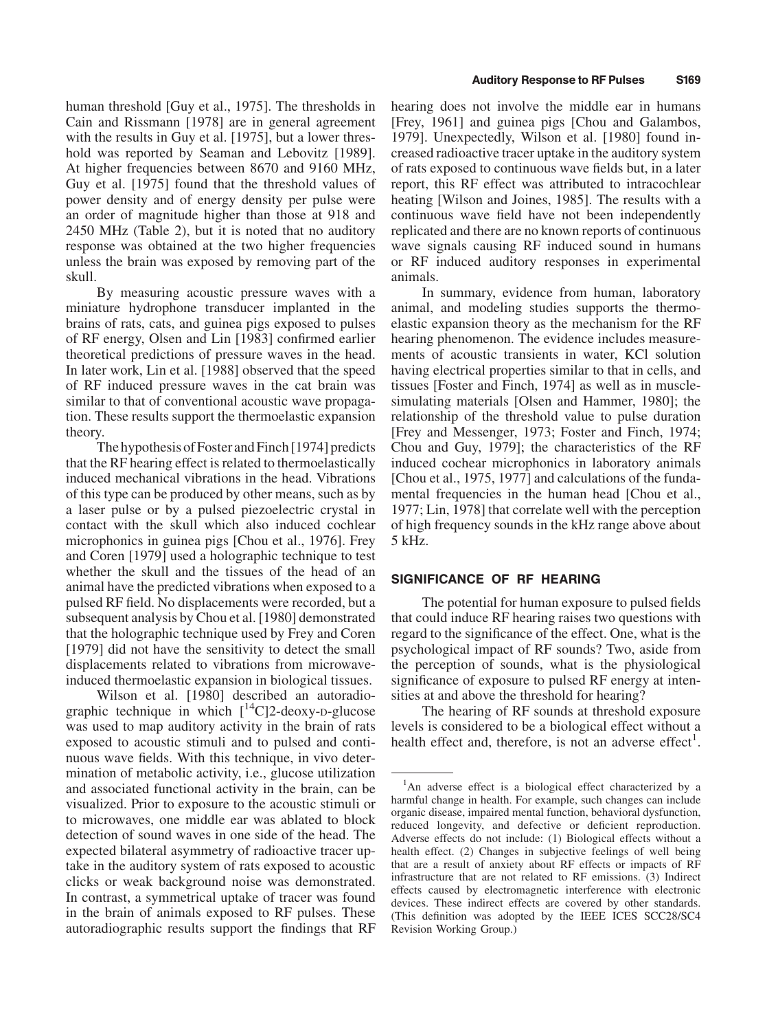human threshold [Guy et al., 1975]. The thresholds in Cain and Rissmann [1978] are in general agreement with the results in Guy et al. [1975], but a lower threshold was reported by Seaman and Lebovitz [1989]. At higher frequencies between 8670 and 9160 MHz, Guy et al. [1975] found that the threshold values of power density and of energy density per pulse were an order of magnitude higher than those at 918 and 2450 MHz (Table 2), but it is noted that no auditory response was obtained at the two higher frequencies unless the brain was exposed by removing part of the skull.

By measuring acoustic pressure waves with a miniature hydrophone transducer implanted in the brains of rats, cats, and guinea pigs exposed to pulses of RF energy, Olsen and Lin [1983] confirmed earlier theoretical predictions of pressure waves in the head. In later work, Lin et al. [1988] observed that the speed of RF induced pressure waves in the cat brain was similar to that of conventional acoustic wave propagation. These results support the thermoelastic expansion theory.

The hypothesis of Foster and Finch [1974] predicts that the RF hearing effect is related to thermoelastically induced mechanical vibrations in the head. Vibrations of this type can be produced by other means, such as by a laser pulse or by a pulsed piezoelectric crystal in contact with the skull which also induced cochlear microphonics in guinea pigs [Chou et al., 1976]. Frey and Coren [1979] used a holographic technique to test whether the skull and the tissues of the head of an animal have the predicted vibrations when exposed to a pulsed RF field. No displacements were recorded, but a subsequent analysis by Chou et al. [1980] demonstrated that the holographic technique used by Frey and Coren [1979] did not have the sensitivity to detect the small displacements related to vibrations from microwaveinduced thermoelastic expansion in biological tissues.

Wilson et al. [1980] described an autoradiographic technique in which  $[$ <sup>14</sup>C]2-deoxy-p-glucose was used to map auditory activity in the brain of rats exposed to acoustic stimuli and to pulsed and continuous wave fields. With this technique, in vivo determination of metabolic activity, i.e., glucose utilization and associated functional activity in the brain, can be visualized. Prior to exposure to the acoustic stimuli or to microwaves, one middle ear was ablated to block detection of sound waves in one side of the head. The expected bilateral asymmetry of radioactive tracer uptake in the auditory system of rats exposed to acoustic clicks or weak background noise was demonstrated. In contrast, a symmetrical uptake of tracer was found in the brain of animals exposed to RF pulses. These autoradiographic results support the findings that RF

hearing does not involve the middle ear in humans [Frey, 1961] and guinea pigs [Chou and Galambos, 1979]. Unexpectedly, Wilson et al. [1980] found increased radioactive tracer uptake in the auditory system of rats exposed to continuous wave fields but, in a later report, this RF effect was attributed to intracochlear heating [Wilson and Joines, 1985]. The results with a continuous wave field have not been independently replicated and there are no known reports of continuous wave signals causing RF induced sound in humans or RF induced auditory responses in experimental animals.

In summary, evidence from human, laboratory animal, and modeling studies supports the thermoelastic expansion theory as the mechanism for the RF hearing phenomenon. The evidence includes measurements of acoustic transients in water, KCl solution having electrical properties similar to that in cells, and tissues [Foster and Finch, 1974] as well as in musclesimulating materials [Olsen and Hammer, 1980]; the relationship of the threshold value to pulse duration [Frey and Messenger, 1973; Foster and Finch, 1974; Chou and Guy, 1979]; the characteristics of the RF induced cochear microphonics in laboratory animals [Chou et al., 1975, 1977] and calculations of the fundamental frequencies in the human head [Chou et al., 1977; Lin, 1978] that correlate well with the perception of high frequency sounds in the kHz range above about 5 kHz.

#### SIGNIFICANCE OF RF HEARING

The potential for human exposure to pulsed fields that could induce RF hearing raises two questions with regard to the significance of the effect. One, what is the psychological impact of RF sounds? Two, aside from the perception of sounds, what is the physiological significance of exposure to pulsed RF energy at intensities at and above the threshold for hearing?

The hearing of RF sounds at threshold exposure levels is considered to be a biological effect without a health effect and, therefore, is not an adverse effect<sup>1</sup>.

<sup>&</sup>lt;sup>1</sup>An adverse effect is a biological effect characterized by a harmful change in health. For example, such changes can include organic disease, impaired mental function, behavioral dysfunction, reduced longevity, and defective or deficient reproduction. Adverse effects do not include: (1) Biological effects without a health effect. (2) Changes in subjective feelings of well being that are a result of anxiety about RF effects or impacts of RF infrastructure that are not related to RF emissions. (3) Indirect effects caused by electromagnetic interference with electronic devices. These indirect effects are covered by other standards. (This definition was adopted by the IEEE ICES SCC28/SC4 Revision Working Group.)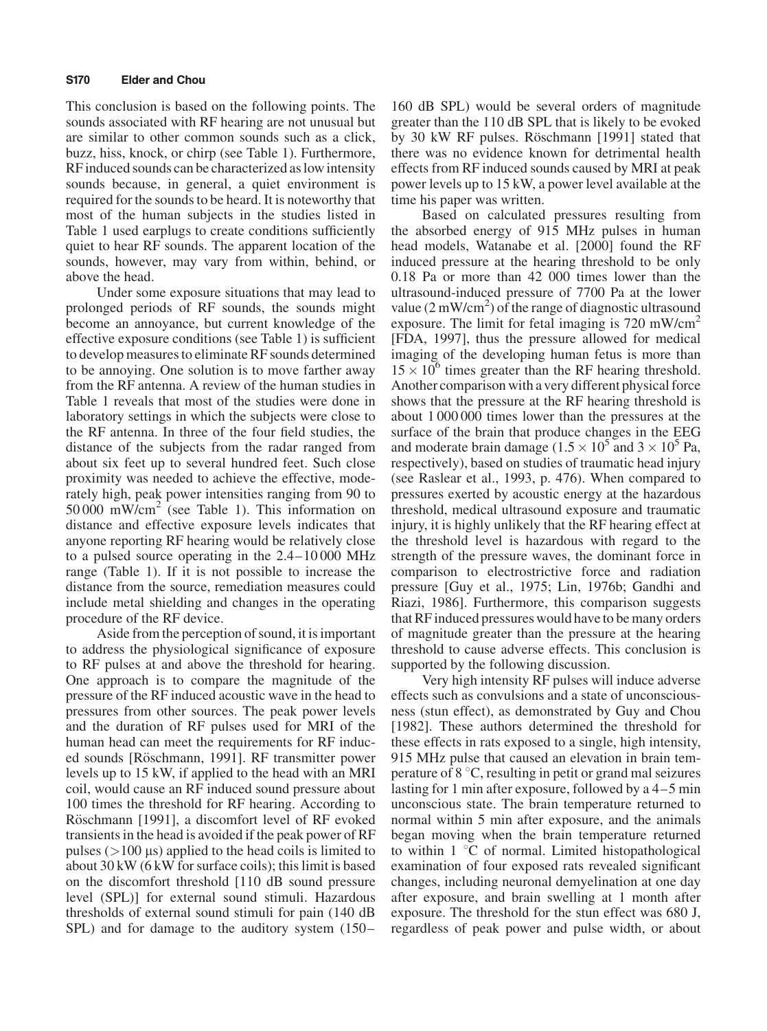This conclusion is based on the following points. The sounds associated with RF hearing are not unusual but are similar to other common sounds such as a click, buzz, hiss, knock, or chirp (see Table 1). Furthermore, RF induced sounds can be characterized as low intensity sounds because, in general, a quiet environment is required for the sounds to be heard. It is noteworthy that most of the human subjects in the studies listed in Table 1 used earplugs to create conditions sufficiently quiet to hear RF sounds. The apparent location of the sounds, however, may vary from within, behind, or above the head.

Under some exposure situations that may lead to prolonged periods of RF sounds, the sounds might become an annoyance, but current knowledge of the effective exposure conditions (see Table 1) is sufficient to develop measures to eliminate RF sounds determined to be annoying. One solution is to move farther away from the RF antenna. A review of the human studies in Table 1 reveals that most of the studies were done in laboratory settings in which the subjects were close to the RF antenna. In three of the four field studies, the distance of the subjects from the radar ranged from about six feet up to several hundred feet. Such close proximity was needed to achieve the effective, moderately high, peak power intensities ranging from 90 to  $50000$  mW/cm<sup>2</sup> (see Table 1). This information on distance and effective exposure levels indicates that anyone reporting RF hearing would be relatively close to a pulsed source operating in the 2.4–10 000 MHz range (Table 1). If it is not possible to increase the distance from the source, remediation measures could include metal shielding and changes in the operating procedure of the RF device.

Aside from the perception of sound, it is important to address the physiological significance of exposure to RF pulses at and above the threshold for hearing. One approach is to compare the magnitude of the pressure of the RF induced acoustic wave in the head to pressures from other sources. The peak power levels and the duration of RF pulses used for MRI of the human head can meet the requirements for RF induced sounds [Röschmann, 1991]. RF transmitter power levels up to 15 kW, if applied to the head with an MRI coil, would cause an RF induced sound pressure about 100 times the threshold for RF hearing. According to Röschmann [1991], a discomfort level of RF evoked transients in the head is avoided if the peak power of RF pulses  $(>100 \,\mu s)$  applied to the head coils is limited to about 30 kW (6 kW for surface coils); this limit is based on the discomfort threshold [110 dB sound pressure level (SPL)] for external sound stimuli. Hazardous thresholds of external sound stimuli for pain (140 dB SPL) and for damage to the auditory system (150– 160 dB SPL) would be several orders of magnitude greater than the 110 dB SPL that is likely to be evoked by 30 kW RF pulses. Röschmann [1991] stated that there was no evidence known for detrimental health effects from RF induced sounds caused by MRI at peak power levels up to 15 kW, a power level available at the time his paper was written.

Based on calculated pressures resulting from the absorbed energy of 915 MHz pulses in human head models, Watanabe et al. [2000] found the RF induced pressure at the hearing threshold to be only 0.18 Pa or more than 42 000 times lower than the ultrasound-induced pressure of 7700 Pa at the lower value  $(2 \text{ mW/cm}^2)$  of the range of diagnostic ultrasound exposure. The limit for fetal imaging is  $720 \text{ mW/cm}^2$ [FDA, 1997], thus the pressure allowed for medical imaging of the developing human fetus is more than  $15 \times 10^6$  times greater than the RF hearing threshold. Another comparison with a very different physical force shows that the pressure at the RF hearing threshold is about 1 000 000 times lower than the pressures at the surface of the brain that produce changes in the EEG and moderate brain damage ( $1.5 \times 10^5$  and  $3 \times 10^5$  Pa, respectively), based on studies of traumatic head injury (see Raslear et al., 1993, p. 476). When compared to pressures exerted by acoustic energy at the hazardous threshold, medical ultrasound exposure and traumatic injury, it is highly unlikely that the RF hearing effect at the threshold level is hazardous with regard to the strength of the pressure waves, the dominant force in comparison to electrostrictive force and radiation pressure [Guy et al., 1975; Lin, 1976b; Gandhi and Riazi, 1986]. Furthermore, this comparison suggests that RF induced pressures would have to be many orders of magnitude greater than the pressure at the hearing threshold to cause adverse effects. This conclusion is supported by the following discussion.

Very high intensity RF pulses will induce adverse effects such as convulsions and a state of unconsciousness (stun effect), as demonstrated by Guy and Chou [1982]. These authors determined the threshold for these effects in rats exposed to a single, high intensity, 915 MHz pulse that caused an elevation in brain temperature of  $8^{\circ}$ C, resulting in petit or grand mal seizures lasting for 1 min after exposure, followed by a 4–5 min unconscious state. The brain temperature returned to normal within 5 min after exposure, and the animals began moving when the brain temperature returned to within  $1 \degree C$  of normal. Limited histopathological examination of four exposed rats revealed significant changes, including neuronal demyelination at one day after exposure, and brain swelling at 1 month after exposure. The threshold for the stun effect was 680 J, regardless of peak power and pulse width, or about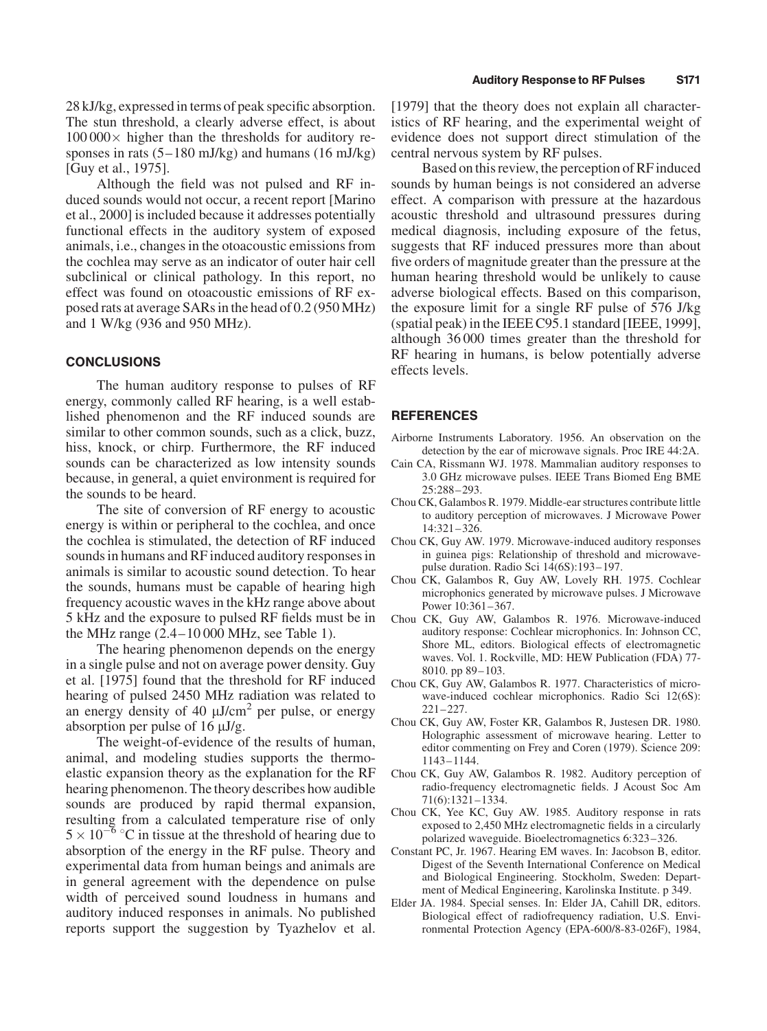28 kJ/kg, expressed in terms of peak specific absorption. The stun threshold, a clearly adverse effect, is about  $100\,000\times$  higher than the thresholds for auditory responses in rats  $(5-180 \text{ mJ/kg})$  and humans  $(16 \text{ mJ/kg})$ [Guy et al., 1975].

Although the field was not pulsed and RF induced sounds would not occur, a recent report [Marino et al., 2000] is included because it addresses potentially functional effects in the auditory system of exposed animals, i.e., changes in the otoacoustic emissions from the cochlea may serve as an indicator of outer hair cell subclinical or clinical pathology. In this report, no effect was found on otoacoustic emissions of RF exposed rats at average SARs in the head of 0.2 (950 MHz) and 1 W/kg (936 and 950 MHz).

#### **CONCLUSIONS**

The human auditory response to pulses of RF energy, commonly called RF hearing, is a well established phenomenon and the RF induced sounds are similar to other common sounds, such as a click, buzz, hiss, knock, or chirp. Furthermore, the RF induced sounds can be characterized as low intensity sounds because, in general, a quiet environment is required for the sounds to be heard.

The site of conversion of RF energy to acoustic energy is within or peripheral to the cochlea, and once the cochlea is stimulated, the detection of RF induced sounds in humans and RF induced auditory responses in animals is similar to acoustic sound detection. To hear the sounds, humans must be capable of hearing high frequency acoustic waves in the kHz range above about 5 kHz and the exposure to pulsed RF fields must be in the MHz range (2.4–10 000 MHz, see Table 1).

The hearing phenomenon depends on the energy in a single pulse and not on average power density. Guy et al. [1975] found that the threshold for RF induced hearing of pulsed 2450 MHz radiation was related to an energy density of 40  $\mu$ J/cm<sup>2</sup> per pulse, or energy absorption per pulse of 16  $\mu$ J/g.

The weight-of-evidence of the results of human, animal, and modeling studies supports the thermoelastic expansion theory as the explanation for the RF hearing phenomenon. The theory describes how audible sounds are produced by rapid thermal expansion, resulting from a calculated temperature rise of only  $5 \times 10^{-6}$  °C in tissue at the threshold of hearing due to absorption of the energy in the RF pulse. Theory and experimental data from human beings and animals are in general agreement with the dependence on pulse width of perceived sound loudness in humans and auditory induced responses in animals. No published reports support the suggestion by Tyazhelov et al. [1979] that the theory does not explain all characteristics of RF hearing, and the experimental weight of evidence does not support direct stimulation of the central nervous system by RF pulses.

Based on this review, the perception of RF induced sounds by human beings is not considered an adverse effect. A comparison with pressure at the hazardous acoustic threshold and ultrasound pressures during medical diagnosis, including exposure of the fetus, suggests that RF induced pressures more than about five orders of magnitude greater than the pressure at the human hearing threshold would be unlikely to cause adverse biological effects. Based on this comparison, the exposure limit for a single RF pulse of 576 J/kg (spatial peak) in the IEEE C95.1 standard [IEEE, 1999], although 36 000 times greater than the threshold for RF hearing in humans, is below potentially adverse effects levels.

#### **REFERENCES**

- Airborne Instruments Laboratory. 1956. An observation on the detection by the ear of microwave signals. Proc IRE 44:2A.
- Cain CA, Rissmann WJ. 1978. Mammalian auditory responses to 3.0 GHz microwave pulses. IEEE Trans Biomed Eng BME 25:288–293.
- Chou CK, Galambos R. 1979. Middle-ear structures contribute little to auditory perception of microwaves. J Microwave Power 14:321–326.
- Chou CK, Guy AW. 1979. Microwave-induced auditory responses in guinea pigs: Relationship of threshold and microwavepulse duration. Radio Sci 14(6S):193–197.
- Chou CK, Galambos R, Guy AW, Lovely RH. 1975. Cochlear microphonics generated by microwave pulses. J Microwave Power 10:361–367.
- Chou CK, Guy AW, Galambos R. 1976. Microwave-induced auditory response: Cochlear microphonics. In: Johnson CC, Shore ML, editors. Biological effects of electromagnetic waves. Vol. 1. Rockville, MD: HEW Publication (FDA) 77- 8010. pp 89–103.
- Chou CK, Guy AW, Galambos R. 1977. Characteristics of microwave-induced cochlear microphonics. Radio Sci 12(6S): 221–227.
- Chou CK, Guy AW, Foster KR, Galambos R, Justesen DR. 1980. Holographic assessment of microwave hearing. Letter to editor commenting on Frey and Coren (1979). Science 209: 1143–1144.
- Chou CK, Guy AW, Galambos R. 1982. Auditory perception of radio-frequency electromagnetic fields. J Acoust Soc Am 71(6):1321–1334.
- Chou CK, Yee KC, Guy AW. 1985. Auditory response in rats exposed to 2,450 MHz electromagnetic fields in a circularly polarized waveguide. Bioelectromagnetics 6:323–326.
- Constant PC, Jr. 1967. Hearing EM waves. In: Jacobson B, editor. Digest of the Seventh International Conference on Medical and Biological Engineering. Stockholm, Sweden: Department of Medical Engineering, Karolinska Institute. p 349.
- Elder JA. 1984. Special senses. In: Elder JA, Cahill DR, editors. Biological effect of radiofrequency radiation, U.S. Environmental Protection Agency (EPA-600/8-83-026F), 1984,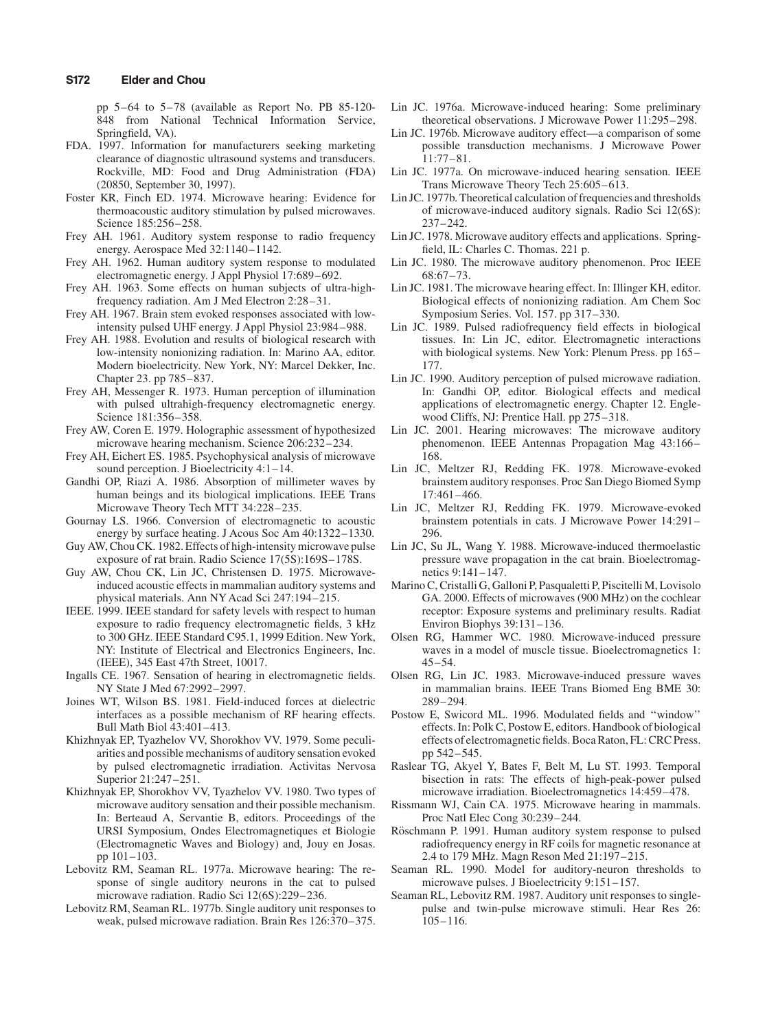pp 5–64 to 5–78 (available as Report No. PB 85-120- 848 from National Technical Information Service, Springfield, VA).

- FDA. 1997. Information for manufacturers seeking marketing clearance of diagnostic ultrasound systems and transducers. Rockville, MD: Food and Drug Administration (FDA) (20850, September 30, 1997).
- Foster KR, Finch ED. 1974. Microwave hearing: Evidence for thermoacoustic auditory stimulation by pulsed microwaves. Science 185:256–258.
- Frey AH. 1961. Auditory system response to radio frequency energy. Aerospace Med 32:1140–1142.
- Frey AH. 1962. Human auditory system response to modulated electromagnetic energy. J Appl Physiol 17:689–692.
- Frey AH. 1963. Some effects on human subjects of ultra-highfrequency radiation. Am J Med Electron 2:28–31.
- Frey AH. 1967. Brain stem evoked responses associated with lowintensity pulsed UHF energy. J Appl Physiol 23:984–988.
- Frey AH. 1988. Evolution and results of biological research with low-intensity nonionizing radiation. In: Marino AA, editor. Modern bioelectricity. New York, NY: Marcel Dekker, Inc. Chapter 23. pp 785–837.
- Frey AH, Messenger R. 1973. Human perception of illumination with pulsed ultrahigh-frequency electromagnetic energy. Science 181:356–358.
- Frey AW, Coren E. 1979. Holographic assessment of hypothesized microwave hearing mechanism. Science 206:232–234.
- Frey AH, Eichert ES. 1985. Psychophysical analysis of microwave sound perception. J Bioelectricity 4:1–14.
- Gandhi OP, Riazi A. 1986. Absorption of millimeter waves by human beings and its biological implications. IEEE Trans Microwave Theory Tech MTT 34:228–235.
- Gournay LS. 1966. Conversion of electromagnetic to acoustic energy by surface heating. J Acous Soc Am 40:1322–1330.
- Guy AW, Chou CK. 1982. Effects of high-intensity microwave pulse exposure of rat brain. Radio Science 17(5S):169S–178S.
- Guy AW, Chou CK, Lin JC, Christensen D. 1975. Microwaveinduced acoustic effects in mammalian auditory systems and physical materials. Ann NY Acad Sci 247:194–215.
- IEEE. 1999. IEEE standard for safety levels with respect to human exposure to radio frequency electromagnetic fields, 3 kHz to 300 GHz. IEEE Standard C95.1, 1999 Edition. New York, NY: Institute of Electrical and Electronics Engineers, Inc. (IEEE), 345 East 47th Street, 10017.
- Ingalls CE. 1967. Sensation of hearing in electromagnetic fields. NY State J Med 67:2992–2997.
- Joines WT, Wilson BS. 1981. Field-induced forces at dielectric interfaces as a possible mechanism of RF hearing effects. Bull Math Biol 43:401–413.
- Khizhnyak EP, Tyazhelov VV, Shorokhov VV. 1979. Some peculiarities and possible mechanisms of auditory sensation evoked by pulsed electromagnetic irradiation. Activitas Nervosa Superior 21:247–251.
- Khizhnyak EP, Shorokhov VV, Tyazhelov VV. 1980. Two types of microwave auditory sensation and their possible mechanism. In: Berteaud A, Servantie B, editors. Proceedings of the URSI Symposium, Ondes Electromagnetiques et Biologie (Electromagnetic Waves and Biology) and, Jouy en Josas. pp 101–103.
- Lebovitz RM, Seaman RL. 1977a. Microwave hearing: The response of single auditory neurons in the cat to pulsed microwave radiation. Radio Sci 12(6S):229–236.
- Lebovitz RM, Seaman RL. 1977b. Single auditory unit responses to weak, pulsed microwave radiation. Brain Res 126:370–375.
- Lin JC. 1976a. Microwave-induced hearing: Some preliminary theoretical observations. J Microwave Power 11:295–298.
- Lin JC. 1976b. Microwave auditory effect—a comparison of some possible transduction mechanisms. J Microwave Power  $11.77 - 81$
- Lin JC. 1977a. On microwave-induced hearing sensation. IEEE Trans Microwave Theory Tech 25:605–613.
- Lin JC. 1977b. Theoretical calculation of frequencies and thresholds of microwave-induced auditory signals. Radio Sci 12(6S): 237–242.
- Lin JC. 1978. Microwave auditory effects and applications. Springfield, IL: Charles C. Thomas. 221 p.
- Lin JC. 1980. The microwave auditory phenomenon. Proc IEEE 68:67–73.
- Lin JC. 1981. The microwave hearing effect. In: Illinger KH, editor. Biological effects of nonionizing radiation. Am Chem Soc Symposium Series. Vol. 157. pp 317–330.
- Lin JC. 1989. Pulsed radiofrequency field effects in biological tissues. In: Lin JC, editor. Electromagnetic interactions with biological systems. New York: Plenum Press. pp 165– 177.
- Lin JC. 1990. Auditory perception of pulsed microwave radiation. In: Gandhi OP, editor. Biological effects and medical applications of electromagnetic energy. Chapter 12. Englewood Cliffs, NJ: Prentice Hall. pp 275–318.
- Lin JC. 2001. Hearing microwaves: The microwave auditory phenomenon. IEEE Antennas Propagation Mag 43:166– 168.
- Lin JC, Meltzer RJ, Redding FK. 1978. Microwave-evoked brainstem auditory responses. Proc San Diego Biomed Symp 17:461–466.
- Lin JC, Meltzer RJ, Redding FK. 1979. Microwave-evoked brainstem potentials in cats. J Microwave Power 14:291– 296.
- Lin JC, Su JL, Wang Y. 1988. Microwave-induced thermoelastic pressure wave propagation in the cat brain. Bioelectromagnetics 9:141–147.
- Marino C, Cristalli G, Galloni P, Pasqualetti P, Piscitelli M, Lovisolo GA. 2000. Effects of microwaves (900 MHz) on the cochlear receptor: Exposure systems and preliminary results. Radiat Environ Biophys 39:131–136.
- Olsen RG, Hammer WC. 1980. Microwave-induced pressure waves in a model of muscle tissue. Bioelectromagnetics 1:  $45 - 54.$
- Olsen RG, Lin JC. 1983. Microwave-induced pressure waves in mammalian brains. IEEE Trans Biomed Eng BME 30: 289–294.
- Postow E, Swicord ML. 1996. Modulated fields and ''window'' effects. In: Polk C, Postow E, editors. Handbook of biological effects of electromagnetic fields. Boca Raton, FL: CRC Press. pp 542–545.
- Raslear TG, Akyel Y, Bates F, Belt M, Lu ST. 1993. Temporal bisection in rats: The effects of high-peak-power pulsed microwave irradiation. Bioelectromagnetics 14:459–478.
- Rissmann WJ, Cain CA. 1975. Microwave hearing in mammals. Proc Natl Elec Cong 30:239–244.
- Röschmann P. 1991. Human auditory system response to pulsed radiofrequency energy in RF coils for magnetic resonance at 2.4 to 179 MHz. Magn Reson Med 21:197–215.
- Seaman RL. 1990. Model for auditory-neuron thresholds to microwave pulses. J Bioelectricity 9:151–157.
- Seaman RL, Lebovitz RM. 1987. Auditory unit responses to singlepulse and twin-pulse microwave stimuli. Hear Res 26: 105–116.